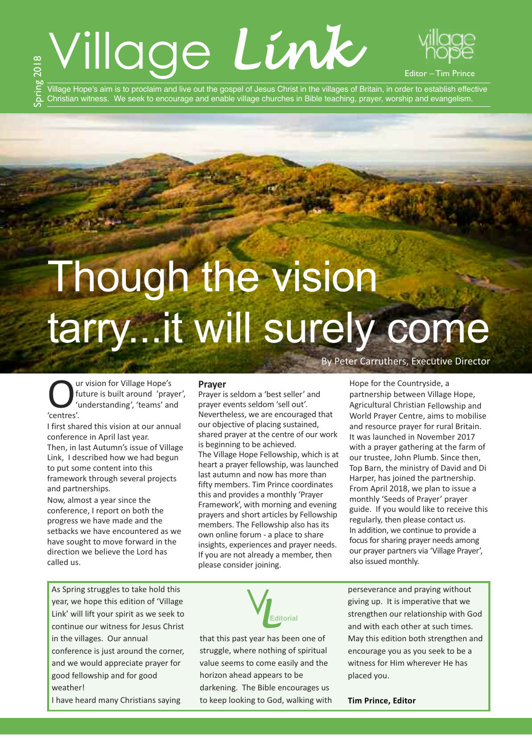### Village *Link* ხე 2018



Village Hope's aim is to proclaim and live out the gospel of Jesus Christ in the villages of Britain, in order to establish effective Christian witness. We seek to encourage and enable village churches in Bible teaching, prayer, worship and evangelism.

# Though the vision tarry...it will surely come

By Peter Carruthers, Executive Director

Hope for the Countryside, a

Our vision for Village Hope's<br>future is built around 'pra'<br>'entres'<br>centres' future is built around 'prayer', 'understanding', 'teams' and 'centres'.

 $\bm{\mathsf{\Omega}}$ prin

> I first shared this vision at our annual conference in April last year. Then, in last Autumn's issue of Village Link, I described how we had begun to put some content into this framework through several projects and partnerships.

> Now, almost a year since the conference, I report on both the progress we have made and the setbacks we have encountered as we have sought to move forward in the direction we believe the Lord has called us.

#### **Prayer**

Prayer is seldom a 'best seller' and prayer events seldom 'sell out'. Nevertheless, we are encouraged that our objective of placing sustained, shared prayer at the centre of our work is beginning to be achieved. The Village Hope Fellowship, which is at heart a prayer fellowship, was launched last autumn and now has more than fifty members. Tim Prince coordinates this and provides a monthly 'Prayer Framework', with morning and evening prayers and short articles by Fellowship members. The Fellowship also has its own online forum - a place to share insights, experiences and prayer needs. If you are not already a member, then please consider joining.

partnership between Village Hope, Agricultural Christian Fellowship and World Prayer Centre, aims to mobilise and resource prayer for rural Britain. It was launched in November 2017 with a prayer gathering at the farm of our trustee, John Plumb. Since then, Top Barn, the ministry of David and Di Harper, has joined the partnership. From April 2018, we plan to issue a monthly 'Seeds of Prayer' prayer guide. If you would like to receive this regularly, then please contact us. In addition, we continue to provide a focus for sharing prayer needs among our prayer partners via 'Village Prayer', also issued monthly.

As Spring struggles to take hold this year, we hope this edition of 'Village Link' will lift your spirit as we seek to continue our witness for Jesus Christ in the villages. Our annual conference is just around the corner, and we would appreciate prayer for good fellowship and for good weather!

I have heard many Christians saying



that this past year has been one of struggle, where nothing of spiritual value seems to come easily and the horizon ahead appears to be darkening. The Bible encourages us to keep looking to God, walking with perseverance and praying without giving up. It is imperative that we strengthen our relationship with God and with each other at such times. May this edition both strengthen and encourage you as you seek to be a witness for Him wherever He has placed you.

#### **Tim Prince, Editor**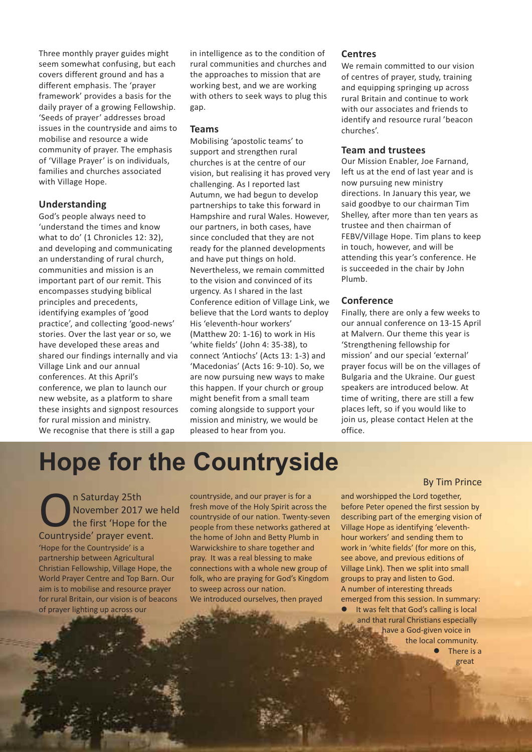Three monthly prayer guides might seem somewhat confusing, but each covers different ground and has a different emphasis. The 'prayer framework' provides a basis for the daily prayer of a growing Fellowship. 'Seeds of prayer' addresses broad issues in the countryside and aims to mobilise and resource a wide community of prayer. The emphasis of 'Village Prayer' is on individuals, families and churches associated with Village Hope.

#### **Understanding**

God's people always need to 'understand the times and know what to do' (1 Chronicles 12: 32), and developing and communicating an understanding of rural church, communities and mission is an important part of our remit. This encompasses studying biblical principles and precedents, identifying examples of 'good practice', and collecting 'good-news' stories. Over the last year or so, we have developed these areas and shared our findings internally and via Village Link and our annual conferences. At this April's conference, we plan to launch our new website, as a platform to share these insights and signpost resources for rural mission and ministry. We recognise that there is still a gap

in intelligence as to the condition of rural communities and churches and the approaches to mission that are working best, and we are working with others to seek ways to plug this gap.

#### **Teams**

Mobilising 'apostolic teams' to support and strengthen rural churches is at the centre of our vision, but realising it has proved very challenging. As I reported last Autumn, we had begun to develop partnerships to take this forward in Hampshire and rural Wales. However, our partners, in both cases, have since concluded that they are not ready for the planned developments and have put things on hold. Nevertheless, we remain committed to the vision and convinced of its urgency. As I shared in the last Conference edition of Village Link, we believe that the Lord wants to deploy His 'eleventh-hour workers' (Matthew 20: 1-16) to work in His 'white fields' (John 4: 35-38), to connect 'Antiochs' (Acts 13: 1-3) and 'Macedonias' (Acts 16: 9-10). So, we are now pursuing new ways to make this happen. If your church or group might benefit from a small team coming alongside to support your mission and ministry, we would be pleased to hear from you.

#### **Centres**

We remain committed to our vision of centres of prayer, study, training and equipping springing up across rural Britain and continue to work with our associates and friends to identify and resource rural 'beacon churches'.

#### **Team and trustees**

Our Mission Enabler, Joe Farnand, left us at the end of last year and is now pursuing new ministry directions. In January this year, we said goodbye to our chairman Tim Shelley, after more than ten years as trustee and then chairman of FEBV/Village Hope. Tim plans to keep in touch, however, and will be attending this year's conference. He is succeeded in the chair by John Plumb.

#### **Conference**

Finally, there are only a few weeks to our annual conference on 13-15 April at Malvern. Our theme this year is 'Strengthening fellowship for mission' and our special 'external' prayer focus will be on the villages of Bulgaria and the Ukraine. Our guest speakers are introduced below. At time of writing, there are still a few places left, so if you would like to join us, please contact Helen at the office.

## **Hope for the Countryside**

On Saturday 25th<br>
The first 'Hope for<br>
Countryside' prayer event. November 2017 we held the first 'Hope for the 'Hope for the Countryside' is a partnership between Agricultural Christian Fellowship, Village Hope, the World Prayer Centre and Top Barn. Our aim is to mobilise and resource prayer for rural Britain, our vision is of beacons of prayer lighting up across our

countryside, and our prayer is for a fresh move of the Holy Spirit across the countryside of our nation. Twenty-seven people from these networks gathered at the home of John and Betty Plumb in Warwickshire to share together and pray. It was a real blessing to make connections with a whole new group of folk, who are praying for God's Kingdom to sweep across our nation. We introduced ourselves, then prayed

#### By Tim Prince

and worshipped the Lord together, before Peter opened the first session by describing part of the emerging vision of Village Hope as identifying 'eleventhhour workers' and sending them to work in 'white fields' (for more on this, see above, and previous editions of Village Link). Then we split into small groups to pray and listen to God. A number of interesting threads emerged from this session. In summary: It was felt that God's calling is local and that rural Christians especially have a God-given voice in the local community. **There** is a

great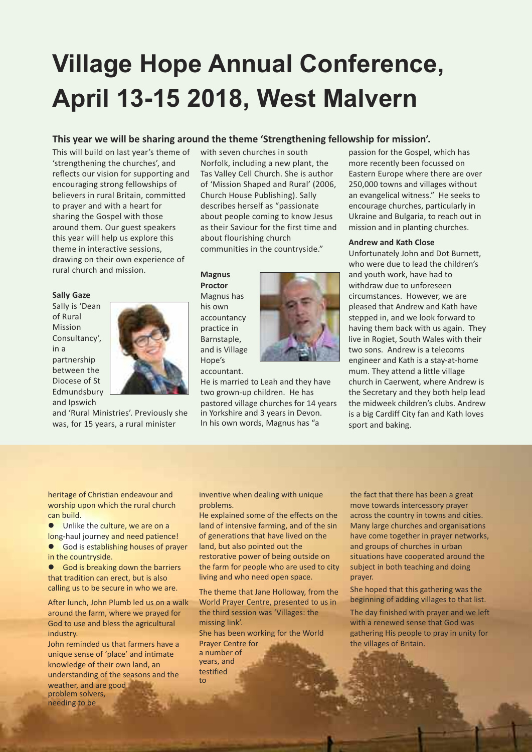# **Village Hope Annual Conference, April 13-15 2018, West Malvern**

#### **This year we will be sharing around the theme 'Strengthening fellowship for mission'.**

This will build on last year's theme of 'strengthening the churches', and reflects our vision for supporting and encouraging strong fellowships of believers in rural Britain, committed to prayer and with a heart for sharing the Gospel with those around them. Our guest speakers this year will help us explore this theme in interactive sessions, drawing on their own experience of rural church and mission.

#### **Sally Gaze**

Sally is 'Dean of Rural **Mission** Consultancy', in a partnership between the Diocese of St Edmundsbury and Ipswich



and 'Rural Ministries'. Previously she was, for 15 years, a rural minister

with seven churches in south Norfolk, including a new plant, the Tas Valley Cell Church. She is author of 'Mission Shaped and Rural' (2006, Church House Publishing). Sally describes herself as "passionate about people coming to know Jesus as their Saviour for the first time and about flourishing church communities in the countryside."

#### **Magnus Proctor**

Magnus has his own accountancy practice in Barnstaple, and is Village Hope's accountant.



two grown-up children. He has pastored village churches for 14 years in Yorkshire and 3 years in Devon. In his own words, Magnus has "a

passion for the Gospel, which has more recently been focussed on Eastern Europe where there are over 250,000 towns and villages without an evangelical witness." He seeks to encourage churches, particularly in Ukraine and Bulgaria, to reach out in mission and in planting churches.

#### **Andrew and Kath Close**

Unfortunately John and Dot Burnett, who were due to lead the children's and youth work, have had to withdraw due to unforeseen circumstances. However, we are pleased that Andrew and Kath have stepped in, and we look forward to having them back with us again. They live in Rogiet, South Wales with their two sons. Andrew is a telecoms engineer and Kath is a stay-at-home mum. They attend a little village church in Caerwent, where Andrew is the Secretary and they both help lead the midweek children's clubs. Andrew is a big Cardiff City fan and Kath loves sport and baking.

heritage of Christian endeavour and worship upon which the rural church can build.

**.** Unlike the culture, we are on a long-haul journey and need patience! **.** God is establishing houses of prayer

in the countryside.

**e** God is breaking down the barriers that tradition can erect, but is also calling us to be secure in who we are.

After lunch, John Plumb led us on a walk around the farm, where we prayed for God to use and bless the agricultural industry.

John reminded us that farmers have a unique sense of 'place' and intimate knowledge of their own land, an understanding of the seasons and the weather, and are good problem solvers, needing to be

inventive when dealing with unique problems.

He explained some of the effects on the land of intensive farming, and of the sin of generations that have lived on the land, but also pointed out the restorative power of being outside on the farm for people who are used to city living and who need open space.

The theme that Jane Holloway, from the World Prayer Centre, presented to us in the third session was 'Villages: the missing link'.

She has been working for the World Prayer Centre for a number of years, and testified to

the fact that there has been a great move towards intercessory prayer across the country in towns and cities. Many large churches and organisations have come together in prayer networks, and groups of churches in urban situations have cooperated around the subject in both teaching and doing prayer.

She hoped that this gathering was the beginning of adding villages to that list.

The day finished with prayer and we left with a renewed sense that God was gathering His people to pray in unity for the villages of Britain.